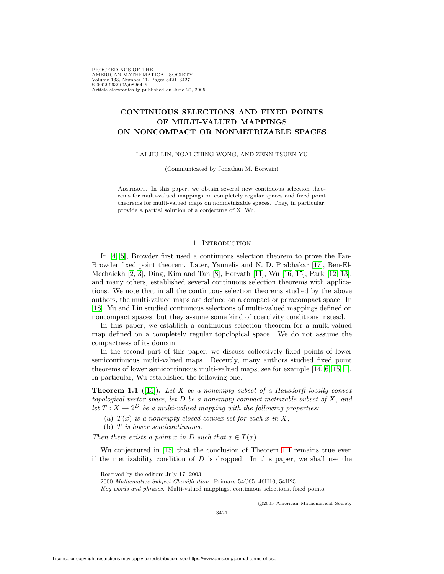PROCEEDINGS OF THE AMERICAN MATHEMATICAL SOCIETY Volume 133, Number 11, Pages 3421–3427 S 0002-9939(05)08264-X Article electronically published on June 20, 2005

# **CONTINUOUS SELECTIONS AND FIXED POINTS OF MULTI-VALUED MAPPINGS ON NONCOMPACT OR NONMETRIZABLE SPACES**

LAI-JIU LIN, NGAI-CHING WONG, AND ZENN-TSUEN YU

(Communicated by Jonathan M. Borwein)

Abstract. In this paper, we obtain several new continuous selection theorems for multi-valued mappings on completely regular spaces and fixed point theorems for multi-valued maps on nonmetrizable spaces. They, in particular, provide a partial solution of a conjecture of X. Wu.

## 1. INTRODUCTION

In [\[4,](#page-5-0) [5\]](#page-5-1), Browder first used a continuous selection theorem to prove the Fan-Browder fixed point theorem. Later, Yannelis and N. D. Prabhakar [\[17\]](#page-5-2), Ben-El-Mechaiekh [\[2,](#page-5-3) [3\]](#page-5-4), Ding, Kim and Tan [\[8\]](#page-5-5), Horvath [\[11\]](#page-5-6), Wu [\[16,](#page-5-7) [15\]](#page-5-8), Park [\[12,](#page-5-9) [13\]](#page-5-10), and many others, established several continuous selection theorems with applications. We note that in all the continuous selection theorems studied by the above authors, the multi-valued maps are defined on a compact or paracompact space. In [\[18\]](#page-5-11), Yu and Lin studied continuous selections of multi-valued mappings defined on noncompact spaces, but they assume some kind of coercivity conditions instead.

In this paper, we establish a continuous selection theorem for a multi-valued map defined on a completely regular topological space. We do not assume the compactness of its domain.

In the second part of this paper, we discuss collectively fixed points of lower semicontinuous multi-valued maps. Recently, many authors studied fixed point theorems of lower semicontinuous multi-valued maps; see for example [\[14,](#page-5-12) [6,](#page-5-13) [15,](#page-5-8) [1\]](#page-5-14). In particular, Wu established the following one.

<span id="page-0-0"></span>**Theorem 1.1** ([\[15\]](#page-5-8)). Let X be a nonempty subset of a Hausdorff locally convex topological vector space, let  $D$  be a nonempty compact metrizable subset of  $X$ , and let  $T : X \to 2^D$  be a multi-valued mapping with the following properties:

(a)  $T(x)$  is a nonempty closed convex set for each x in X;

(b) T is lower semicontinuous.

Then there exists a point  $\bar{x}$  in D such that  $\bar{x} \in T(\bar{x})$ .

Wu conjectured in [\[15\]](#page-5-8) that the conclusion of Theorem [1.1](#page-0-0) remains true even if the metrizability condition of  $D$  is dropped. In this paper, we shall use the

c 2005 American Mathematical Society

Received by the editors July 17, 2003.

<sup>2000</sup> Mathematics Subject Classification. Primary 54C65, 46H10, 54H25.

Key words and phrases. Multi-valued mappings, continuous selections, fixed points.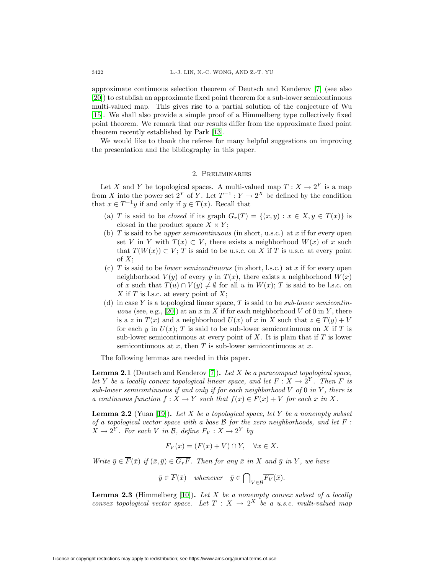approximate continuous selection theorem of Deutsch and Kenderov [\[7\]](#page-5-15) (see also [\[20\]](#page-6-0)) to establish an approximate fixed point theorem for a sub-lower semicontinuous multi-valued map. This gives rise to a partial solution of the conjecture of Wu [\[15\]](#page-5-8). We shall also provide a simple proof of a Himmelberg type collectively fixed point theorem. We remark that our results differ from the approximate fixed point theorem recently established by Park [\[13\]](#page-5-10).

We would like to thank the referee for many helpful suggestions on improving the presentation and the bibliography in this paper.

### 2. Preliminaries

Let X and Y be topological spaces. A multi-valued map  $T: X \to 2^Y$  is a map from X into the power set  $2^Y$  of Y. Let  $T^{-1}: Y \to 2^X$  be defined by the condition that  $x \in T^{-1}y$  if and only if  $y \in T(x)$ . Recall that

- (a) T is said to be closed if its graph  $G_r(T) = \{(x, y) : x \in X, y \in T(x)\}\$ is closed in the product space  $X \times Y$ ;
- (b) T is said to be *upper semicontinuous* (in short, u.s.c.) at x if for every open set V in Y with  $T(x) \subset V$ , there exists a neighborhood  $W(x)$  of x such that  $T(W(x)) \subset V$ ; T is said to be u.s.c. on X if T is u.s.c. at every point of  $X$ ;
- (c) T is said to be *lower semicontinuous* (in short, l.s.c.) at x if for every open neighborhood  $V(y)$  of every y in  $T(x)$ , there exists a neighborhood  $W(x)$ of x such that  $T(u) \cap V(u) \neq \emptyset$  for all u in  $W(x)$ ; T is said to be l.s.c. on X if T is l.s.c. at every point of  $X$ ;
- (d) in case Y is a topological linear space, T is said to be *sub-lower semicontin-*uous (see, e.g., [\[20\]](#page-6-0)) at an x in X if for each neighborhood V of 0 in Y, there is a z in  $T(x)$  and a neighborhood  $U(x)$  of x in X such that  $z \in T(y) + V$ for each y in  $U(x)$ ; T is said to be sub-lower semicontinuous on X if T is sub-lower semicontinuous at every point of  $X$ . It is plain that if  $T$  is lower semicontinuous at  $x$ , then  $T$  is sub-lower semicontinuous at  $x$ .

The following lemmas are needed in this paper.

<span id="page-1-0"></span>**Lemma 2.1** (Deutsch and Kenderov [\[7\]](#page-5-15))**.** Let X be a paracompact topological space, let Y be a locally convex topological linear space, and let  $F: X \to 2^Y$ . Then F is sub-lower semicontinuous if and only if for each neighborhood  $V$  of  $0$  in  $Y$ , there is a continuous function  $f: X \to Y$  such that  $f(x) \in F(x) + V$  for each x in X.

<span id="page-1-2"></span>**Lemma 2.2** (Yuan [\[19\]](#page-6-1)). Let X be a topological space, let Y be a nonempty subset of a topological vector space with a base  $\mathcal B$  for the zero neighborhoods, and let  $F$ :  $X \to 2^Y$ . For each V in B, define  $F_V : X \to 2^Y$  by

$$
F_V(x) = (F(x) + V) \cap Y, \quad \forall x \in X.
$$

Write  $\bar{y} \in \overline{F}(\bar{x})$  if  $(\bar{x}, \bar{y}) \in \overline{G_rF}$ . Then for any  $\bar{x}$  in X and  $\bar{y}$  in Y, we have

$$
\bar{y} \in \overline{F}(\bar{x}) \quad whenever \quad \bar{y} \in \bigcap_{V \in \mathcal{B}} \overline{F_V}(\bar{x}).
$$

<span id="page-1-1"></span>**Lemma 2.3** (Himmelberg  $[10]$ ). Let X be a nonempty convex subset of a locally convex topological vector space. Let  $T : X \to 2^X$  be a u.s.c. multi-valued map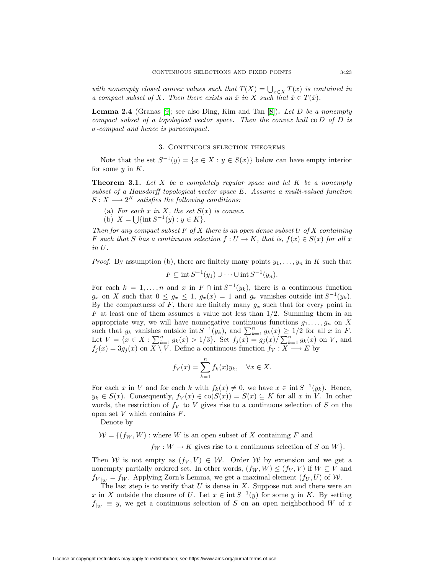with nonempty closed convex values such that  $T(X) = \bigcup_{x \in X} T(x)$  is contained in a compact subset of X. Then there exists an  $\bar{x}$  in X such that  $\bar{x} \in T(\bar{x})$ .

<span id="page-2-1"></span>**Lemma 2.4** (Granas [\[9\]](#page-5-17); see also Ding, Kim and Tan  $[8]$ ). Let D be a nonempty compact subset of a topological vector space. Then the convex hull  $\infty D$  of D is  $\sigma$ -compact and hence is paracompact.

## 3. CONTINUOUS SELECTION THEOREMS

<span id="page-2-0"></span>Note that the set  $S^{-1}(y) = \{x \in X : y \in S(x)\}\$ below can have empty interior for some  $y$  in  $K$ .

**Theorem 3.1.** Let  $X$  be a completely regular space and let  $K$  be a nonempty subset of a Hausdorff topological vector space E. Assume a multi-valued function  $S: X \longrightarrow 2^K$  satisfies the following conditions:

(a) For each x in X, the set  $S(x)$  is convex.

(b)  $X = \bigcup \{ \text{int } S^{-1}(y) : y \in K \}.$ 

Then for any compact subset  $F$  of  $X$  there is an open dense subset  $U$  of  $X$  containing F such that S has a continuous selection  $f: U \to K$ , that is,  $f(x) \in S(x)$  for all x in U.

*Proof.* By assumption (b), there are finitely many points  $y_1, \ldots, y_n$  in K such that

$$
F \subseteq \text{int } S^{-1}(y_1) \cup \cdots \cup \text{int } S^{-1}(y_n).
$$

For each  $k = 1, \ldots, n$  and x in  $F \cap \text{int } S^{-1}(y_k)$ , there is a continuous function  $g_x$  on X such that  $0 \le g_x \le 1$ ,  $g_x(x) = 1$  and  $g_x$  vanishes outside int  $S^{-1}(y_k)$ . By the compactness of  $F$ , there are finitely many  $g_x$  such that for every point in  $F$  at least one of them assumes a value not less than  $1/2$ . Summing them in an appropriate way, we will have nonnegative continuous functions  $g_1, \ldots, g_n$  on X such that  $g_k$  vanishes outside int  $S^{-1}(y_k)$ , and  $\sum_{k=1}^n g_k(x) \geq 1/2$  for all x in F. Let  $V = \{x \in X : \sum_{k=1}^{n} g_k(x) > 1/3\}$ . Set  $f_j(x) = g_j(x)/\sum_{k=1}^{n} g_k(x)$  on V, and  $f_j(x)=3g_j (x)$  on  $X \setminus V$ . Define a continuous function  $f_V : X \longrightarrow E$  by

$$
f_V(x) = \sum_{k=1}^n f_k(x) y_k, \quad \forall x \in X.
$$

For each x in V and for each k with  $f_k(x) \neq 0$ , we have  $x \in \text{int } S^{-1}(y_k)$ . Hence,  $y_k \in S(x)$ . Consequently,  $f_V(x) \in \text{co}(S(x)) = S(x) \subseteq K$  for all x in V. In other words, the restriction of  $f_V$  to V gives rise to a continuous selection of S on the open set  $V$  which contains  $F$ .

Denote by

 $W = \{(f_W, W) : \text{where } W \text{ is an open subset of } X \text{ containing } F \text{ and }$ 

 $f_W : W \to K$  gives rise to a continuous selection of S on W.

Then W is not empty as  $(f_V, V) \in W$ . Order W by extension and we get a nonempty partially ordered set. In other words,  $(f_W, W) \leq (f_V, V)$  if  $W \subseteq V$  and  $f_{V|_W} = f_W$ . Applying Zorn's Lemma, we get a maximal element  $(f_U, U)$  of W.

The last step is to verify that  $U$  is dense in  $X$ . Suppose not and there were an x in X outside the closure of U. Let  $x \in \text{int } S^{-1}(y)$  for some y in K. By setting  $f_{|W} \equiv y$ , we get a continuous selection of S on an open neighborhood W of x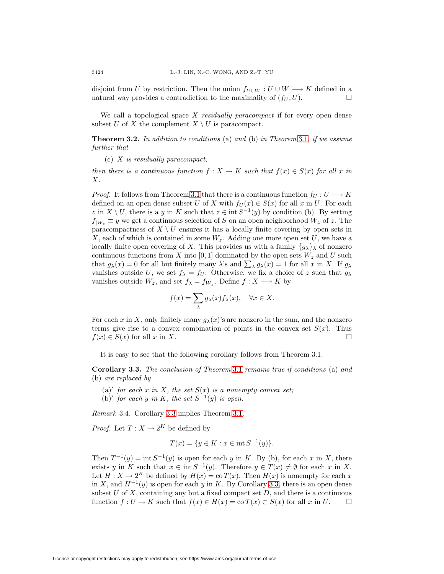disjoint from U by restriction. Then the union  $f_{U\cup W}: U\cup W \longrightarrow K$  defined in a natural wav provides a contradiction to the maximality of  $(f_U, U)$ . natural way provides a contradiction to the maximality of  $(f_U, U)$ .

We call a topological space  $X$  residually paracompact if for every open dense subset U of X the complement  $X \setminus U$  is paracompact.

**Theorem 3.2.** In addition to conditions (a) and (b) in Theorem [3.1](#page-2-0), if we assume further that

 $(c)$  X is residually paracompact,

then there is a continuous function  $f: X \to K$  such that  $f(x) \in S(x)$  for all x in X.

*Proof.* It follows from Theorem [3.1](#page-2-0) that there is a continuous function  $f_U: U \longrightarrow K$ defined on an open dense subset U of X with  $f_U(x) \in S(x)$  for all x in U. For each z in  $X \setminus U$ , there is a y in K such that  $z \in \text{int } S^{-1}(y)$  by condition (b). By setting  $f_{|W_z} \equiv y$  we get a continuous selection of S on an open neighborhood  $W_z$  of z. The paracompactness of  $X \setminus U$  ensures it has a locally finite covering by open sets in  $X$ , each of which is contained in some  $W_z$ . Adding one more open set U, we have a locally finite open covering of X. This provides us with a family  $\{g_{\lambda}\}\$  of nonzero continuous functions from X into [0, 1] dominated by the open sets  $W_z$  and U such that  $g_{\lambda}(x) = 0$  for all but finitely many  $\lambda$ 's and  $\sum_{\lambda} g_{\lambda}(x) = 1$  for all x in X. If  $g_{\lambda}$ vanishes outside U, we set  $f_{\lambda} = f_U$ . Otherwise, we fix a choice of z such that  $g_{\lambda}$ vanishes outside  $W_z$ , and set  $f_{\lambda} = f_{W_z}$ . Define  $f : X \longrightarrow K$  by

$$
f(x) = \sum_{\lambda} g_{\lambda}(x) f_{\lambda}(x), \quad \forall x \in X.
$$

For each x in X, only finitely many  $q_{\lambda}(x)$ 's are nonzero in the sum, and the nonzero terms give rise to a convex combination of points in the convex set  $S(x)$ . Thus  $f(x) \in S(x)$  for all x in X.

It is easy to see that the following corollary follows from Theorem 3.1.

<span id="page-3-0"></span>**Corollary 3.3.** The conclusion of Theorem [3.1](#page-2-0) remains true if conditions (a) and (b) are replaced by

- (a)' for each x in X, the set  $S(x)$  is a nonempty convex set;
- (b)' for each y in K, the set  $S^{-1}(y)$  is open.

Remark 3.4. Corollary [3.3](#page-3-0) implies Theorem [3.1.](#page-2-0)

*Proof.* Let  $T: X \to 2^K$  be defined by

$$
T(x) = \{ y \in K : x \in \text{int } S^{-1}(y) \}.
$$

Then  $T^{-1}(y) = \text{int } S^{-1}(y)$  is open for each y in K. By (b), for each x in X, there exists y in K such that  $x \in \text{int } S^{-1}(y)$ . Therefore  $y \in T(x) \neq \emptyset$  for each x in X. Let  $H: X \to 2^K$  be defined by  $H(x) = \text{co } T(x)$ . Then  $H(x)$  is nonempty for each x in X, and  $H^{-1}(y)$  is open for each y in K. By Corollary [3.3,](#page-3-0) there is an open dense subset  $U$  of  $X$ , containing any but a fixed compact set  $D$ , and there is a continuous function  $f: U \to K$  such that  $f(x) \in H(x) = \text{co } T(x) \subset S(x)$  for all x in U.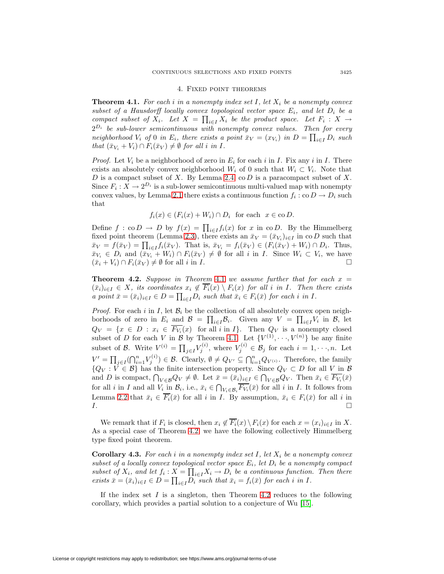#### 4. Fixed point theorems

<span id="page-4-0"></span>**Theorem 4.1.** For each i in a nonempty index set I, let  $X_i$  be a nonempty convex subset of a Hausdorff locally convex topological vector space  $E_i$ , and let  $D_i$  be a compact subset of  $X_i$ . Let  $X = \prod_{i \in I} X_i$  be the product space. Let  $F_i : X \to Y$  $2^{D_i}$  be sub-lower semicontinuous with nonempty convex values. Then for every neighborhood  $V_i$  of 0 in  $E_i$ , there exists a point  $\bar{x}_V = (x_{V_i})$  in  $D = \prod_{i \in I} D_i$  such that  $(\bar{x}_{V_i} + V_i) \cap F_i(\bar{x}_V) \neq \emptyset$  for all i in I.

*Proof.* Let  $V_i$  be a neighborhood of zero in  $E_i$  for each i in I. Fix any i in I. There exists an absolutely convex neighborhood  $W_i$  of 0 such that  $W_i \subset V_i$ . Note that D is a compact subset of X. By Lemma [2.4,](#page-2-1) co D is a paracompact subset of X. Since  $F_i: X \to 2^{D_i}$  is a sub-lower semicontinuous multi-valued map with nonempty convex values, by Lemma [2.1](#page-1-0) there exists a continuous function  $f_i : \text{co } D \to D_i$  such that

$$
f_i(x) \in (F_i(x) + W_i) \cap D_i
$$
 for each  $x \in \text{co } D$ .

Define  $f : co D \to D$  by  $f(x) = \prod_{i \in I} f_i(x)$  for x in co D. By the Himmelberg fixed point theorem (Lemma [2.3\)](#page-1-1), there exists an  $\bar{x}_V = (\bar{x}_{V_i})_{i \in I}$  in co D such that  $\bar{x}_V = f(\bar{x}_V) = \prod_{i \in I} f_i(\bar{x}_V)$ . That is,  $\bar{x}_{V_i} = f_i(\bar{x}_V) \in (F_i(\bar{x}_V) + W_i) \cap D_i$ . Thus,  $\bar{x}_{V_i} \in D_i$  and  $(\bar{x}_{V_i} + W_i) \cap F_i(\bar{x}_V) \neq \emptyset$  for all i in I. Since  $W_i \subset V_i$ , we have  $(\bar{x}_i + V_i) \cap F_i(\bar{x}_V) \neq \emptyset$  for all i in I.

<span id="page-4-1"></span>**Theorem 4.2.** Suppose in Theorem [4.1](#page-4-0) we assume further that for each  $x =$  $(\bar{x}_i)_{i\in I} \in X$ , its coordinates  $x_i \notin \overline{F_i}(x) \setminus F_i(x)$  for all i in I. Then there exists a point  $\bar{x} = (\bar{x}_i)_{i \in I} \in D = \prod_{i \in I} D_i$  such that  $\bar{x}_i \in F_i(\bar{x})$  for each i in I.

*Proof.* For each i in I, let  $\mathcal{B}_i$  be the collection of all absolutely convex open neighborhoods of zero in  $E_i$  and  $\mathcal{B} = \prod_{i \in I} \mathcal{B}_i$ . Given any  $V = \prod_{i \in I} V_i$  in  $\mathcal{B}_i$ , let  $Q_V = \{x \in D : x_i \in F_{V_i}(x) \text{ for all } i \text{ in } I\}.$  Then  $Q_V$  is a nonempty closed subset of D for each V in B by Theorem [4.1.](#page-4-0) Let  $\{V^{(1)}, \dots, V^{(n)}\}$  be any finite subset of B. Write  $V^{(i)} = \prod_{j \in I} V_j^{(i)}$ , where  $V_j^{(i)} \in \mathcal{B}_j$  for each  $i = 1, \dots, n$ . Let  $V' = \prod_{j \in I} (\bigcap_{i=1}^n V_j^{(i)}) \in \mathcal{B}$ . Clearly,  $\emptyset \neq Q_{V'} \subseteq \bigcap_{i=1}^n Q_{V^{(i)}}$ . Therefore, the family  ${Q_V : V \in \mathcal{B}}$  has the finite intersection property. Since  $Q_V \subset D$  for all V in B and D is compact,  $\bigcap_{V \in \mathcal{B}} Q_V \neq \emptyset$ . Let  $\bar{x} = (\bar{x}_i)_{i \in I} \in \bigcap_{V \in \mathcal{B}} Q_V$ . Then  $\bar{x}_i \in F_{V_i}(\bar{x})$ for all *i* in *I* and all  $V_i$  in  $B_i$ , i.e.,  $\bar{x}_i \in \bigcap_{V_i \in \mathcal{B}_i} F_{V_i}(\bar{x})$  for all *i* in *I*. It follows from Lemma [2.2](#page-1-2) that  $\bar{x}_i \in \overline{F_i}(\bar{x})$  for all i in I. By assumption,  $\bar{x}_i \in F_i(\bar{x})$  for all i in  $I.$ 

We remark that if  $F_i$  is closed, then  $x_i \notin \overline{F_i}(x) \setminus F_i(x)$  for each  $x = (x_i)_{i \in I}$  in X. As a special case of Theorem [4.2,](#page-4-1) we have the following collectively Himmelberg type fixed point theorem.

**Corollary 4.3.** For each i in a nonempty index set  $I$ , let  $X_i$  be a nonempty convex subset of a locally convex topological vector space  $E_i$ , let  $D_i$  be a nonempty compact subset of  $X_i$ , and let  $f_i : X = \prod_{i \in I} X_i \to D_i$  be a continuous function. Then there exists  $\bar{x} = (\bar{x}_i)_{i \in I} \in D = \prod_{i \in I} D_i$  such that  $\bar{x}_i = f_i(\bar{x})$  for each i in I.

If the index set I is a singleton, then Theorem [4.2](#page-4-1) reduces to the following corollary, which provides a partial solution to a conjecture of Wu [\[15\]](#page-5-8).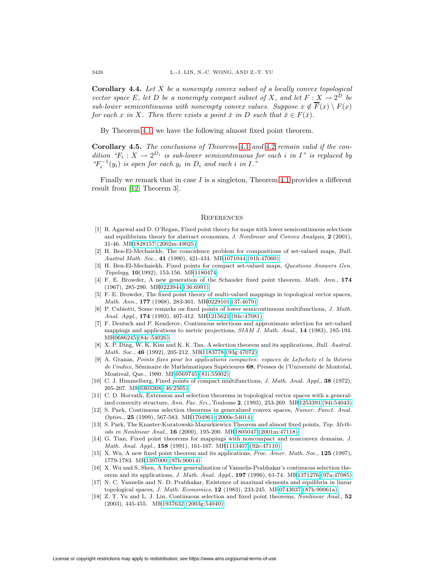**Corollary 4.4.** Let X be a nonempty convex subset of a locally convex topological vector space E, let D be a nonempty compact subset of X, and let  $F: X \to 2^D$  be sub-lower semicontinuous with nonempty convex values. Suppose  $x \notin \overline{F}(x) \setminus F(x)$ for each x in X. Then there exists a point  $\bar{x}$  in D such that  $\bar{x} \in F(\bar{x})$ .

By Theorem [4.1,](#page-4-0) we have the following almost fixed point theorem.

**Corollary 4.5.** The conclusions of Theorems [4.1](#page-4-0) and [4.2](#page-4-1) remain valid if the condition " $F_i : X \to 2^{D_i}$  is sub-lower semicontinuous for each i in I" is replaced by  ${}^{u}F_{i}^{-1}(y_{i})$  is open for each  $y_{i}$  in  $D_{i}$  and each i in I."

Finally we remark that in case  $I$  is a singleton, Theorem [4.1](#page-4-0) provides a different result from [\[12,](#page-5-9) Theorem 3].

#### **REFERENCES**

- <span id="page-5-14"></span>[1] R. Agarwal and D. O'Regan, Fixed point theory for maps with lower semicontinuous selections and equilibrium theory for abstract economies, J. Nonlinear and Convex Analysis, **2** (2001), 31-46. M[R1828157 \(2002m:49025\)](http://www.ams.org/mathscinet-getitem?mr=1828157)
- <span id="page-5-4"></span><span id="page-5-3"></span>[2] H. Ben-El-Mechaiekh, The coincidence problem for compositions of set-valued maps, Bull. Austral Math. Soc., **41** (1990), 421-434. M[R1071044 \(91h:47060\)](http://www.ams.org/mathscinet-getitem?mr=1071044)
- [3] H. Ben-El-Mechaiekh, Fixed points for compact set-valued maps, Questions Answers Gen. Topology, **10**(1992), 153-156. M[R1180474](http://www.ams.org/mathscinet-getitem?mr=1180474)
- <span id="page-5-0"></span>[4] F. E. Browder, A new generation of the Schauder fixed point theorem, Math. Ann., **174** (1967), 285-290. M[R0223944 \(36:6991\)](http://www.ams.org/mathscinet-getitem?mr=0223944)
- <span id="page-5-1"></span>[5] F. E. Browder, The fixed point theory of multi-valued mappings in topological vector spaces, Math. Ann., **177** (1968), 283-301. M[R0229101 \(37:4679\)](http://www.ams.org/mathscinet-getitem?mr=0229101)
- <span id="page-5-13"></span>[6] P. Cubiotti, Some remarks on fixed points of lower semicontinuous multifunctions, J. Math. Anal. Appl., **174** (1993), 407-412. M[R1215621 \(94c:47081\)](http://www.ams.org/mathscinet-getitem?mr=1215621)
- <span id="page-5-15"></span>[7] F. Deutsch and P. Kenderov, Continuous selections and approximate selection for set-valued mappings and applications to metric projections, SIAM J. Math. Anal., **14** (1983), 185-194. M[R0686245 \(84c:54026\)](http://www.ams.org/mathscinet-getitem?mr=0686245)
- <span id="page-5-5"></span>[8] X. P. Ding, W. K. Kim and K. K. Tan, A selection theorem and its applications, Bull. Austral. Math. Soc., **46** (1992), 205-212. M[R1183778 \(93g:47072\)](http://www.ams.org/mathscinet-getitem?mr=1183778)
- <span id="page-5-17"></span>[9] A. Granas, Points fixes pour les applications compactes: espaces de Lefschetz et la théorie de l'indice, Séminaire de Mathématiques Supérieures 68, Presses de l'Université de Montréal, Montreal, Que., 1980. M[R0569745 \(81i:55002\)](http://www.ams.org/mathscinet-getitem?mr=0569745)
- <span id="page-5-16"></span>[10] C. J. Himmelberg, Fixed points of compact multifunctions, J. Math. Anal. Appl., **38** (1972), 205-207. M[R0303368 \(46:2505\)](http://www.ams.org/mathscinet-getitem?mr=0303368)
- <span id="page-5-6"></span>[11] C. D. Horvath, Extension and selection theorems in topological vector spaces with a generalized convexity structure, Ann. Fac. Sci., Toulouse **2**, (1993), 253-269. M[R1253391 \(94i:54043\)](http://www.ams.org/mathscinet-getitem?mr=1253391)
- <span id="page-5-9"></span>[12] S. Park, Continuous selection theorems in generalized convex spaces, Numer. Funct. Anal. Optim., **25** (1999), 567-583. M[R1704961 \(2000e:54014\)](http://www.ams.org/mathscinet-getitem?mr=1704961)
- <span id="page-5-10"></span>[13] S. Park, The Knaster-Kuratowski-Mazurkiewicz Theorem and almost fixed points, Top. Methods in Nonlinear Anal., **16** (2000), 195-200. M[R1805047 \(2001m:47118\)](http://www.ams.org/mathscinet-getitem?mr=1805047)
- <span id="page-5-12"></span>[14] G. Tian, Fixed point theorems for mappings with noncompact and nonconvex domains, J. Math. Anal. Appl., **158** (1991), 161-167. M[R1113407 \(92e:47110\)](http://www.ams.org/mathscinet-getitem?mr=1113407)
- <span id="page-5-8"></span>[15] X. Wu, A new fixed point theorem and its applications, Proc. Amer. Math. Soc., **125** (1997), 1779-1783. M[R1397000 \(97h:90014\)](http://www.ams.org/mathscinet-getitem?mr=1397000)
- <span id="page-5-7"></span>[16] X. Wu and S. Shen, A further generalization of Yannelis-Prabhakar's continuous selection theorem and its applications, J. Math. Anal. Appl., **197** (1996), 61-74. M[R1371276 \(97a:47085\)](http://www.ams.org/mathscinet-getitem?mr=1371276)
- <span id="page-5-2"></span>[17] N. C. Yannelis and N. D. Prabhakar, Existence of maximal elements and equilibria in linear topological spaces, J. Math. Economics, **12** (1983), 233-245. M[R0743037 \(87h:90061a\)](http://www.ams.org/mathscinet-getitem?mr=0743037)
- <span id="page-5-11"></span>[18] Z. T. Yu and L. J. Lin, Continuous selection and fixed point theorems, Nonlinear Anal., **52** (2003), 445-455. M[R1937632 \(2003g:54040\)](http://www.ams.org/mathscinet-getitem?mr=1937632)